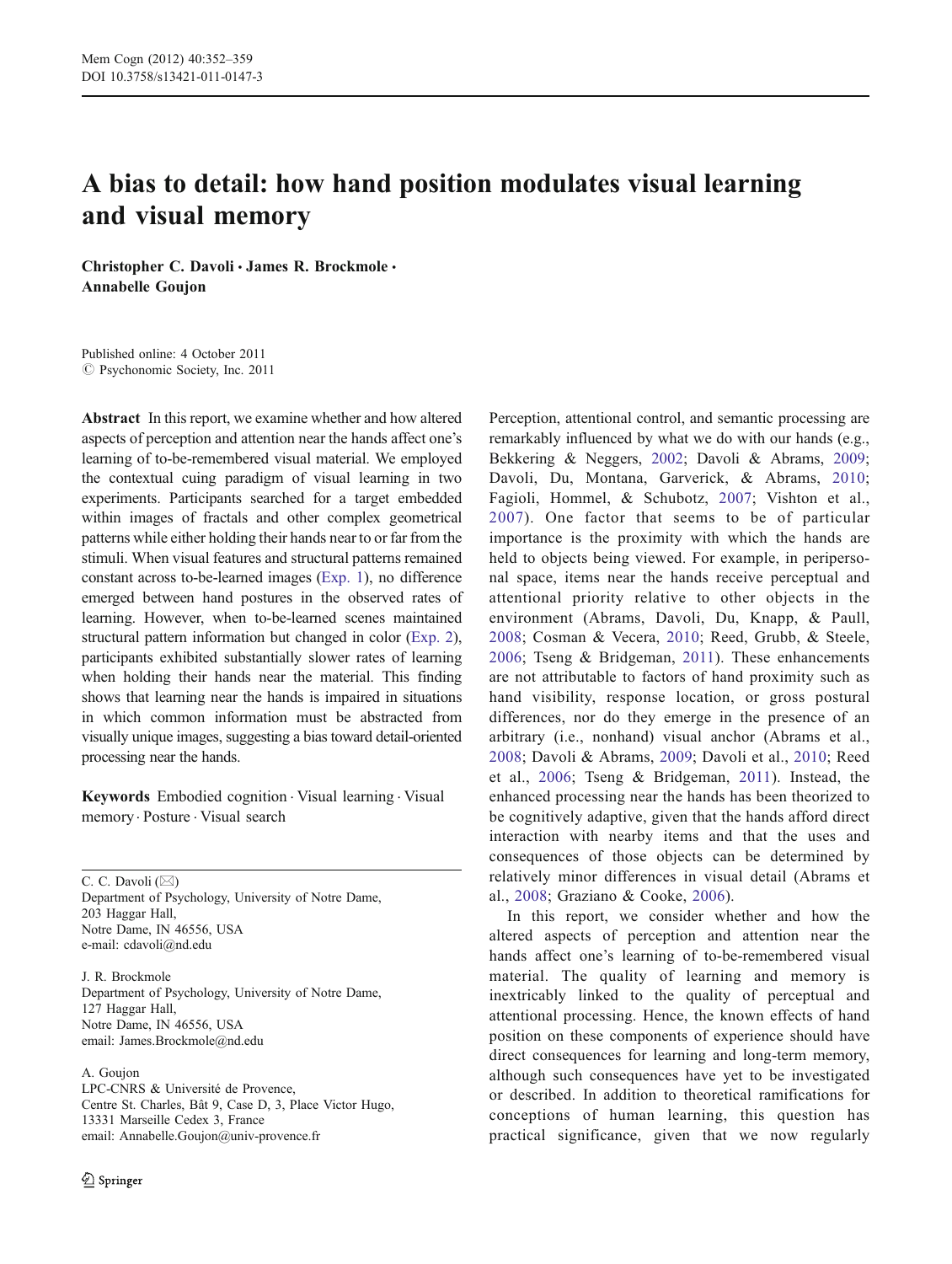# A bias to detail: how hand position modulates visual learning and visual memory

Christopher C. Davoli · James R. Brockmole · Annabelle Goujon

Published online: 4 October 2011  $\circ$  Psychonomic Society, Inc. 2011

Abstract In this report, we examine whether and how altered aspects of perception and attention near the hands affect one's learning of to-be-remembered visual material. We employed the contextual cuing paradigm of visual learning in two experiments. Participants searched for a target embedded within images of fractals and other complex geometrical patterns while either holding their hands near to or far from the stimuli. When visual features and structural patterns remained constant across to-be-learned images [\(Exp. 1\)](#page-1-0), no difference emerged between hand postures in the observed rates of learning. However, when to-be-learned scenes maintained structural pattern information but changed in color [\(Exp. 2\)](#page-4-0), participants exhibited substantially slower rates of learning when holding their hands near the material. This finding shows that learning near the hands is impaired in situations in which common information must be abstracted from visually unique images, suggesting a bias toward detail-oriented processing near the hands.

Keywords Embodied cognition . Visual learning . Visual memory. Posture . Visual search

C. C. Davoli  $(\boxtimes)$ Department of Psychology, University of Notre Dame, 203 Haggar Hall, Notre Dame, IN 46556, USA e-mail: cdavoli@nd.edu

J. R. Brockmole Department of Psychology, University of Notre Dame, 127 Haggar Hall, Notre Dame, IN 46556, USA email: James.Brockmole@nd.edu

### A. Goujon

LPC-CNRS & Université de Provence, Centre St. Charles, Bât 9, Case D, 3, Place Victor Hugo, 13331 Marseille Cedex 3, France email: Annabelle.Goujon@univ-provence.fr

Perception, attentional control, and semantic processing are remarkably influenced by what we do with our hands (e.g., Bekkering & Neggers, [2002;](#page-6-0) Davoli & Abrams, [2009;](#page-7-0) Davoli, Du, Montana, Garverick, & Abrams, [2010;](#page-7-0) Fagioli, Hommel, & Schubotz, [2007;](#page-7-0) Vishton et al., [2007\)](#page-7-0). One factor that seems to be of particular importance is the proximity with which the hands are held to objects being viewed. For example, in peripersonal space, items near the hands receive perceptual and attentional priority relative to other objects in the environment (Abrams, Davoli, Du, Knapp, & Paull, [2008;](#page-6-0) Cosman & Vecera, [2010;](#page-6-0) Reed, Grubb, & Steele, [2006;](#page-7-0) Tseng & Bridgeman, [2011](#page-7-0)). These enhancements are not attributable to factors of hand proximity such as hand visibility, response location, or gross postural differences, nor do they emerge in the presence of an arbitrary (i.e., nonhand) visual anchor (Abrams et al., [2008;](#page-6-0) Davoli & Abrams, [2009](#page-7-0); Davoli et al., [2010](#page-7-0); Reed et al., [2006;](#page-7-0) Tseng & Bridgeman, [2011\)](#page-7-0). Instead, the enhanced processing near the hands has been theorized to be cognitively adaptive, given that the hands afford direct interaction with nearby items and that the uses and consequences of those objects can be determined by relatively minor differences in visual detail (Abrams et al., [2008;](#page-6-0) Graziano & Cooke, [2006\)](#page-7-0).

In this report, we consider whether and how the altered aspects of perception and attention near the hands affect one's learning of to-be-remembered visual material. The quality of learning and memory is inextricably linked to the quality of perceptual and attentional processing. Hence, the known effects of hand position on these components of experience should have direct consequences for learning and long-term memory, although such consequences have yet to be investigated or described. In addition to theoretical ramifications for conceptions of human learning, this question has practical significance, given that we now regularly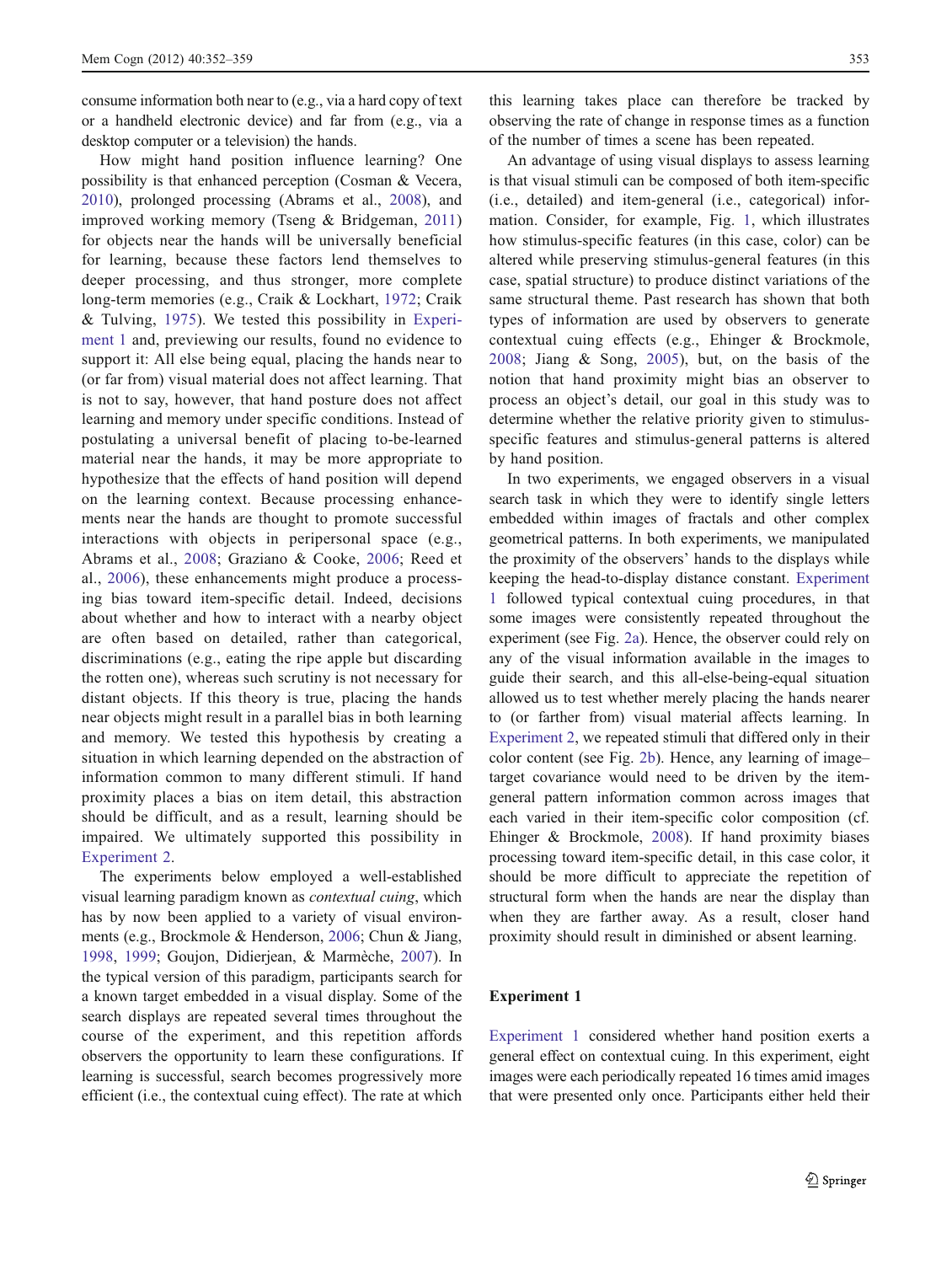<span id="page-1-0"></span>consume information both near to (e.g., via a hard copy of text or a handheld electronic device) and far from (e.g., via a desktop computer or a television) the hands.

How might hand position influence learning? One possibility is that enhanced perception (Cosman & Vecera, [2010\)](#page-6-0), prolonged processing (Abrams et al., [2008\)](#page-6-0), and improved working memory (Tseng & Bridgeman, [2011\)](#page-7-0) for objects near the hands will be universally beneficial for learning, because these factors lend themselves to deeper processing, and thus stronger, more complete long-term memories (e.g., Craik & Lockhart, [1972;](#page-6-0) Craik & Tulving, [1975](#page-7-0)). We tested this possibility in Experiment 1 and, previewing our results, found no evidence to support it: All else being equal, placing the hands near to (or far from) visual material does not affect learning. That is not to say, however, that hand posture does not affect learning and memory under specific conditions. Instead of postulating a universal benefit of placing to-be-learned material near the hands, it may be more appropriate to hypothesize that the effects of hand position will depend on the learning context. Because processing enhancements near the hands are thought to promote successful interactions with objects in peripersonal space (e.g., Abrams et al., [2008;](#page-6-0) Graziano & Cooke, [2006](#page-7-0); Reed et al., [2006\)](#page-7-0), these enhancements might produce a processing bias toward item-specific detail. Indeed, decisions about whether and how to interact with a nearby object are often based on detailed, rather than categorical, discriminations (e.g., eating the ripe apple but discarding the rotten one), whereas such scrutiny is not necessary for distant objects. If this theory is true, placing the hands near objects might result in a parallel bias in both learning and memory. We tested this hypothesis by creating a situation in which learning depended on the abstraction of information common to many different stimuli. If hand proximity places a bias on item detail, this abstraction should be difficult, and as a result, learning should be impaired. We ultimately supported this possibility in [Experiment 2.](#page-4-0)

The experiments below employed a well-established visual learning paradigm known as contextual cuing, which has by now been applied to a variety of visual environments (e.g., Brockmole & Henderson, [2006](#page-6-0); Chun & Jiang, [1998,](#page-6-0) [1999;](#page-6-0) Goujon, Didierjean, & Marmèche, [2007\)](#page-7-0). In the typical version of this paradigm, participants search for a known target embedded in a visual display. Some of the search displays are repeated several times throughout the course of the experiment, and this repetition affords observers the opportunity to learn these configurations. If learning is successful, search becomes progressively more efficient (i.e., the contextual cuing effect). The rate at which

this learning takes place can therefore be tracked by observing the rate of change in response times as a function of the number of times a scene has been repeated.

An advantage of using visual displays to assess learning is that visual stimuli can be composed of both item-specific (i.e., detailed) and item-general (i.e., categorical) information. Consider, for example, Fig. [1](#page-2-0), which illustrates how stimulus-specific features (in this case, color) can be altered while preserving stimulus-general features (in this case, spatial structure) to produce distinct variations of the same structural theme. Past research has shown that both types of information are used by observers to generate contextual cuing effects (e.g., Ehinger & Brockmole, [2008](#page-7-0); Jiang & Song, [2005](#page-7-0)), but, on the basis of the notion that hand proximity might bias an observer to process an object's detail, our goal in this study was to determine whether the relative priority given to stimulusspecific features and stimulus-general patterns is altered by hand position.

In two experiments, we engaged observers in a visual search task in which they were to identify single letters embedded within images of fractals and other complex geometrical patterns. In both experiments, we manipulated the proximity of the observers' hands to the displays while keeping the head-to-display distance constant. Experiment 1 followed typical contextual cuing procedures, in that some images were consistently repeated throughout the experiment (see Fig. [2a](#page-3-0)). Hence, the observer could rely on any of the visual information available in the images to guide their search, and this all-else-being-equal situation allowed us to test whether merely placing the hands nearer to (or farther from) visual material affects learning. In [Experiment 2,](#page-4-0) we repeated stimuli that differed only in their color content (see Fig. [2b](#page-3-0)). Hence, any learning of image– target covariance would need to be driven by the itemgeneral pattern information common across images that each varied in their item-specific color composition (cf. Ehinger & Brockmole, [2008\)](#page-7-0). If hand proximity biases processing toward item-specific detail, in this case color, it should be more difficult to appreciate the repetition of structural form when the hands are near the display than when they are farther away. As a result, closer hand proximity should result in diminished or absent learning.

# Experiment 1

Experiment 1 considered whether hand position exerts a general effect on contextual cuing. In this experiment, eight images were each periodically repeated 16 times amid images that were presented only once. Participants either held their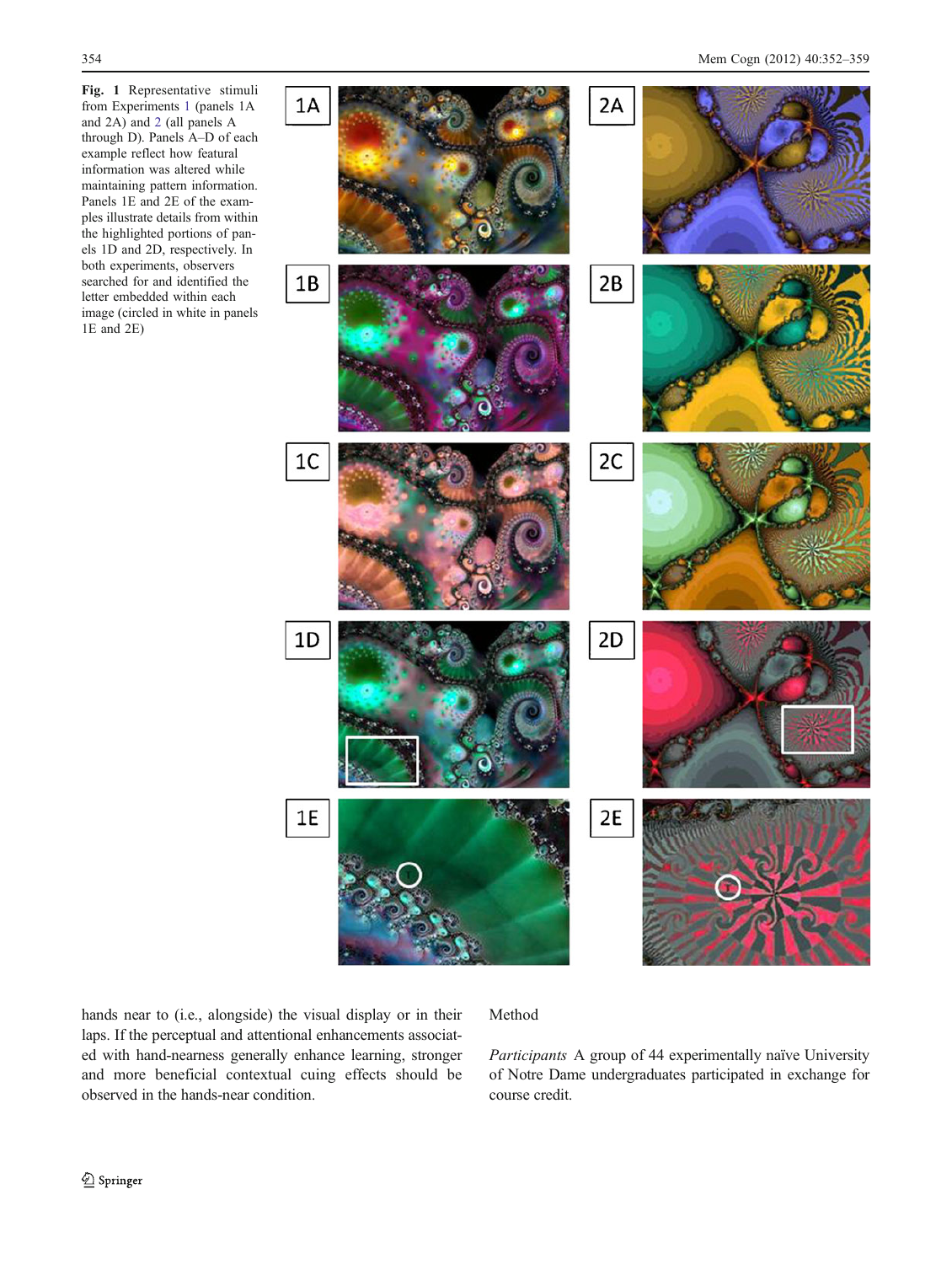<span id="page-2-0"></span>Fig. 1 Representative stimuli from Experiments [1](#page-1-0) (panels 1A and 2A) and [2](#page-4-0) (all panels A through D). Panels A–D of each example reflect how featural information was altered while maintaining pattern information. Panels 1E and 2E of the examples illustrate details from within the highlighted portions of panels 1D and 2D, respectively. In both experiments, observers searched for and identified the letter embedded within each image (circled in white in panels 1E and 2E)



hands near to (i.e., alongside) the visual display or in their laps. If the perceptual and attentional enhancements associated with hand-nearness generally enhance learning, stronger and more beneficial contextual cuing effects should be observed in the hands-near condition.

# Method

Participants A group of 44 experimentally naïve University of Notre Dame undergraduates participated in exchange for course credit.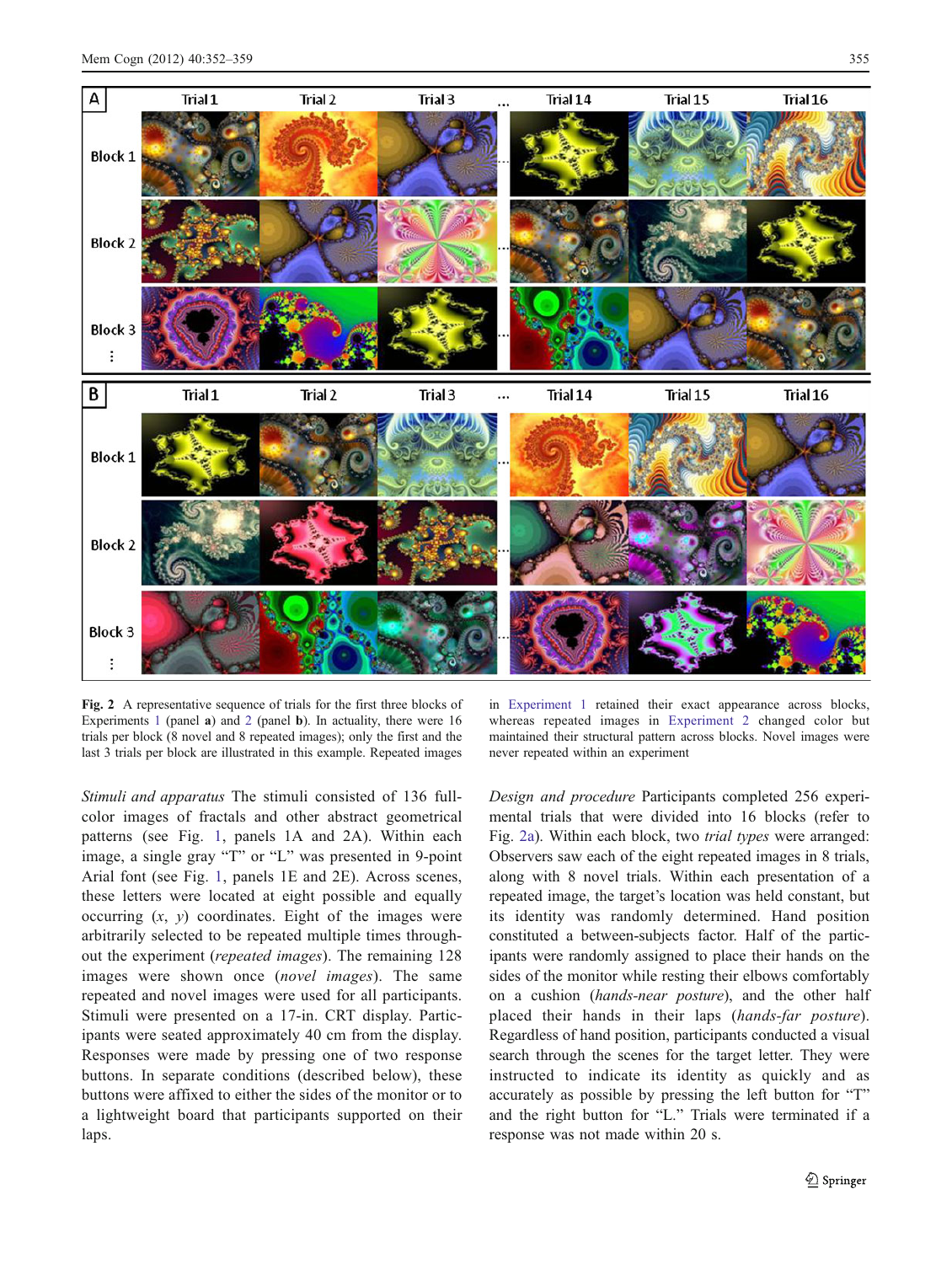<span id="page-3-0"></span>

Fig. 2 A representative sequence of trials for the first three blocks of Experiments [1](#page-1-0) (panel a) and [2](#page-4-0) (panel b). In actuality, there were 16 trials per block (8 novel and 8 repeated images); only the first and the last 3 trials per block are illustrated in this example. Repeated images

Stimuli and apparatus The stimuli consisted of 136 fullcolor images of fractals and other abstract geometrical patterns (see Fig. [1](#page-2-0), panels 1A and 2A). Within each image, a single gray "T" or "L" was presented in 9-point Arial font (see Fig. [1,](#page-2-0) panels 1E and 2E). Across scenes, these letters were located at eight possible and equally occurring  $(x, y)$  coordinates. Eight of the images were arbitrarily selected to be repeated multiple times throughout the experiment (repeated images). The remaining 128 images were shown once (novel images). The same repeated and novel images were used for all participants. Stimuli were presented on a 17-in. CRT display. Participants were seated approximately 40 cm from the display. Responses were made by pressing one of two response buttons. In separate conditions (described below), these buttons were affixed to either the sides of the monitor or to a lightweight board that participants supported on their laps.

in [Experiment 1](#page-1-0) retained their exact appearance across blocks, whereas repeated images in [Experiment 2](#page-4-0) changed color but maintained their structural pattern across blocks. Novel images were never repeated within an experiment

Design and procedure Participants completed 256 experimental trials that were divided into 16 blocks (refer to Fig. 2a). Within each block, two trial types were arranged: Observers saw each of the eight repeated images in 8 trials, along with 8 novel trials. Within each presentation of a repeated image, the target's location was held constant, but its identity was randomly determined. Hand position constituted a between-subjects factor. Half of the participants were randomly assigned to place their hands on the sides of the monitor while resting their elbows comfortably on a cushion (hands-near posture), and the other half placed their hands in their laps (hands-far posture). Regardless of hand position, participants conducted a visual search through the scenes for the target letter. They were instructed to indicate its identity as quickly and as accurately as possible by pressing the left button for "T" and the right button for "L." Trials were terminated if a response was not made within 20 s.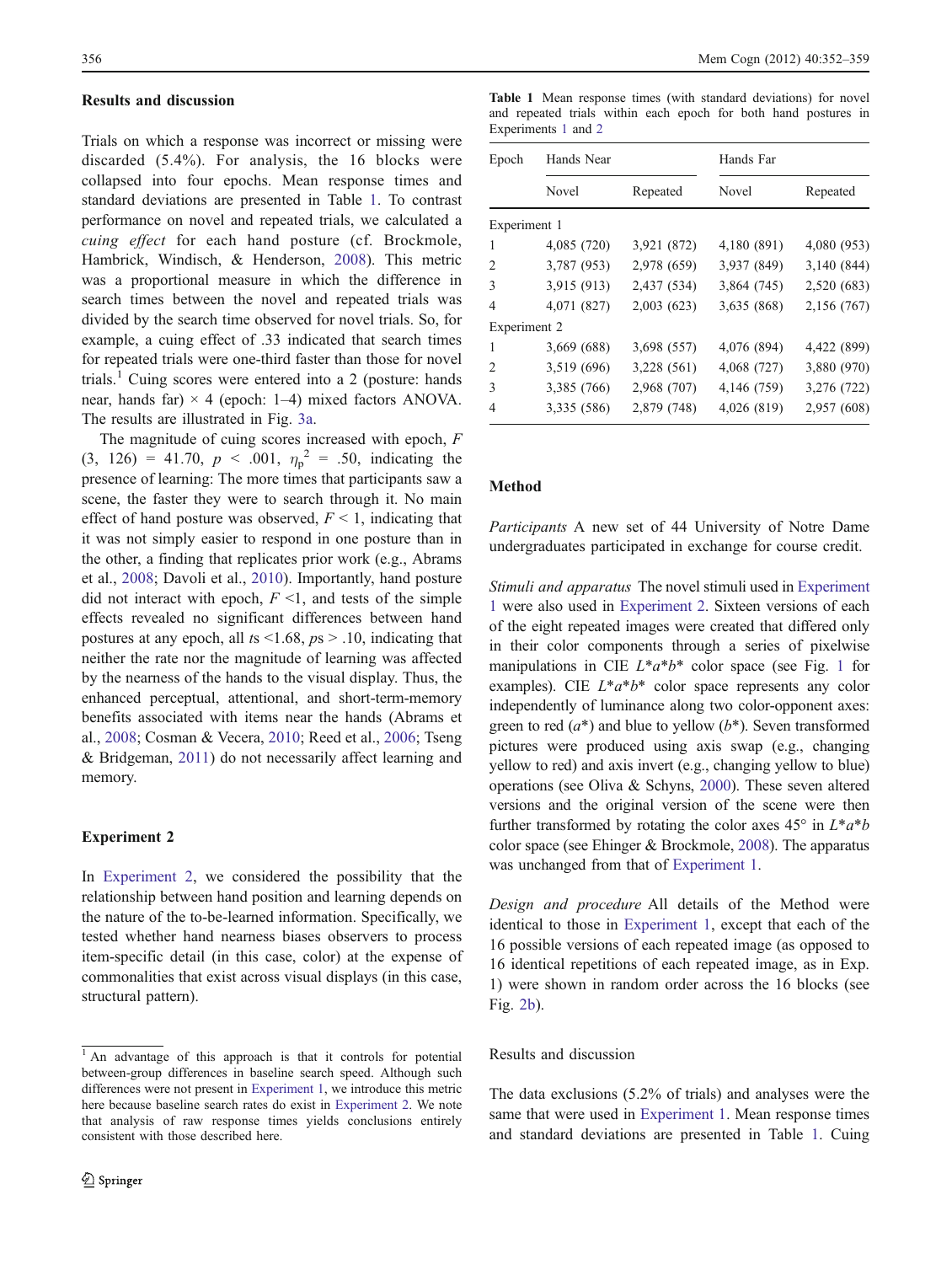#### <span id="page-4-0"></span>Results and discussion

Trials on which a response was incorrect or missing were discarded (5.4%). For analysis, the 16 blocks were collapsed into four epochs. Mean response times and standard deviations are presented in Table 1. To contrast performance on novel and repeated trials, we calculated a cuing effect for each hand posture (cf. Brockmole, Hambrick, Windisch, & Henderson, [2008](#page-6-0)). This metric was a proportional measure in which the difference in search times between the novel and repeated trials was divided by the search time observed for novel trials. So, for example, a cuing effect of .33 indicated that search times for repeated trials were one-third faster than those for novel trials.<sup>1</sup> Cuing scores were entered into a 2 (posture: hands near, hands far)  $\times$  4 (epoch: 1–4) mixed factors ANOVA. The results are illustrated in Fig. [3a.](#page-5-0)

The magnitude of cuing scores increased with epoch, F  $(3, 126) = 41.70, p < .001, \eta_p^2 = .50, \text{ indicating the}$ presence of learning: The more times that participants saw a scene, the faster they were to search through it. No main effect of hand posture was observed,  $F \leq 1$ , indicating that it was not simply easier to respond in one posture than in the other, a finding that replicates prior work (e.g., Abrams et al., [2008](#page-6-0); Davoli et al., [2010](#page-7-0)). Importantly, hand posture did not interact with epoch,  $F \leq 1$ , and tests of the simple effects revealed no significant differences between hand postures at any epoch, all  $ts \le 1.68$ ,  $ps > .10$ , indicating that neither the rate nor the magnitude of learning was affected by the nearness of the hands to the visual display. Thus, the enhanced perceptual, attentional, and short-term-memory benefits associated with items near the hands (Abrams et al., [2008;](#page-6-0) Cosman & Vecera, [2010;](#page-6-0) Reed et al., [2006](#page-7-0); Tseng & Bridgeman, [2011](#page-7-0)) do not necessarily affect learning and memory.

# Experiment 2

In Experiment 2, we considered the possibility that the relationship between hand position and learning depends on the nature of the to-be-learned information. Specifically, we tested whether hand nearness biases observers to process item-specific detail (in this case, color) at the expense of commonalities that exist across visual displays (in this case, structural pattern).

Table 1 Mean response times (with standard deviations) for novel and repeated trials within each epoch for both hand postures in Experiments [1](#page-1-0) and 2

| Epoch        | Hands Near  |             | Hands Far   |             |
|--------------|-------------|-------------|-------------|-------------|
|              | Novel       | Repeated    | Novel       | Repeated    |
| Experiment 1 |             |             |             |             |
| 1            | 4,085 (720) | 3,921 (872) | 4,180 (891) | 4,080 (953) |
| 2            | 3,787 (953) | 2,978 (659) | 3,937 (849) | 3,140 (844) |
| 3            | 3,915 (913) | 2,437 (534) | 3,864 (745) | 2,520 (683) |
| 4            | 4,071 (827) | 2,003(623)  | 3,635 (868) | 2,156 (767) |
| Experiment 2 |             |             |             |             |
| 1            | 3,669 (688) | 3,698 (557) | 4,076 (894) | 4,422 (899) |
| 2            | 3,519 (696) | 3,228 (561) | 4,068 (727) | 3,880 (970) |
| 3            | 3,385 (766) | 2,968 (707) | 4,146 (759) | 3,276 (722) |
| 4            | 3,335 (586) | 2,879 (748) | 4,026 (819) | 2,957 (608) |

# Method

Participants A new set of 44 University of Notre Dame undergraduates participated in exchange for course credit.

Stimuli and apparatus The novel stimuli used in [Experiment](#page-1-0) [1](#page-1-0) were also used in Experiment 2. Sixteen versions of each of the eight repeated images were created that differed only in their color components through a series of pixelwise manipulations in CIE  $L^*a^*b^*$  color space (see Fig. [1](#page-2-0) for examples). CIE  $L^*a^*b^*$  color space represents any color independently of luminance along two color-opponent axes: green to red  $(a^*)$  and blue to yellow  $(b^*)$ . Seven transformed pictures were produced using axis swap (e.g., changing yellow to red) and axis invert (e.g., changing yellow to blue) operations (see Oliva & Schyns, [2000](#page-7-0)). These seven altered versions and the original version of the scene were then further transformed by rotating the color axes  $45^{\circ}$  in  $L^*a^*b$ color space (see Ehinger & Brockmole, [2008](#page-7-0)). The apparatus was unchanged from that of [Experiment 1](#page-1-0).

Design and procedure All details of the Method were identical to those in [Experiment 1](#page-1-0), except that each of the 16 possible versions of each repeated image (as opposed to 16 identical repetitions of each repeated image, as in Exp. 1) were shown in random order across the 16 blocks (see Fig. [2b](#page-3-0)).

# Results and discussion

The data exclusions (5.2% of trials) and analyses were the same that were used in [Experiment 1.](#page-1-0) Mean response times and standard deviations are presented in Table 1. Cuing

 $\overline{1 \text{ An}}$  advantage of this approach is that it controls for potential between-group differences in baseline search speed. Although such differences were not present in [Experiment 1,](#page-1-0) we introduce this metric here because baseline search rates do exist in Experiment 2. We note that analysis of raw response times yields conclusions entirely consistent with those described here.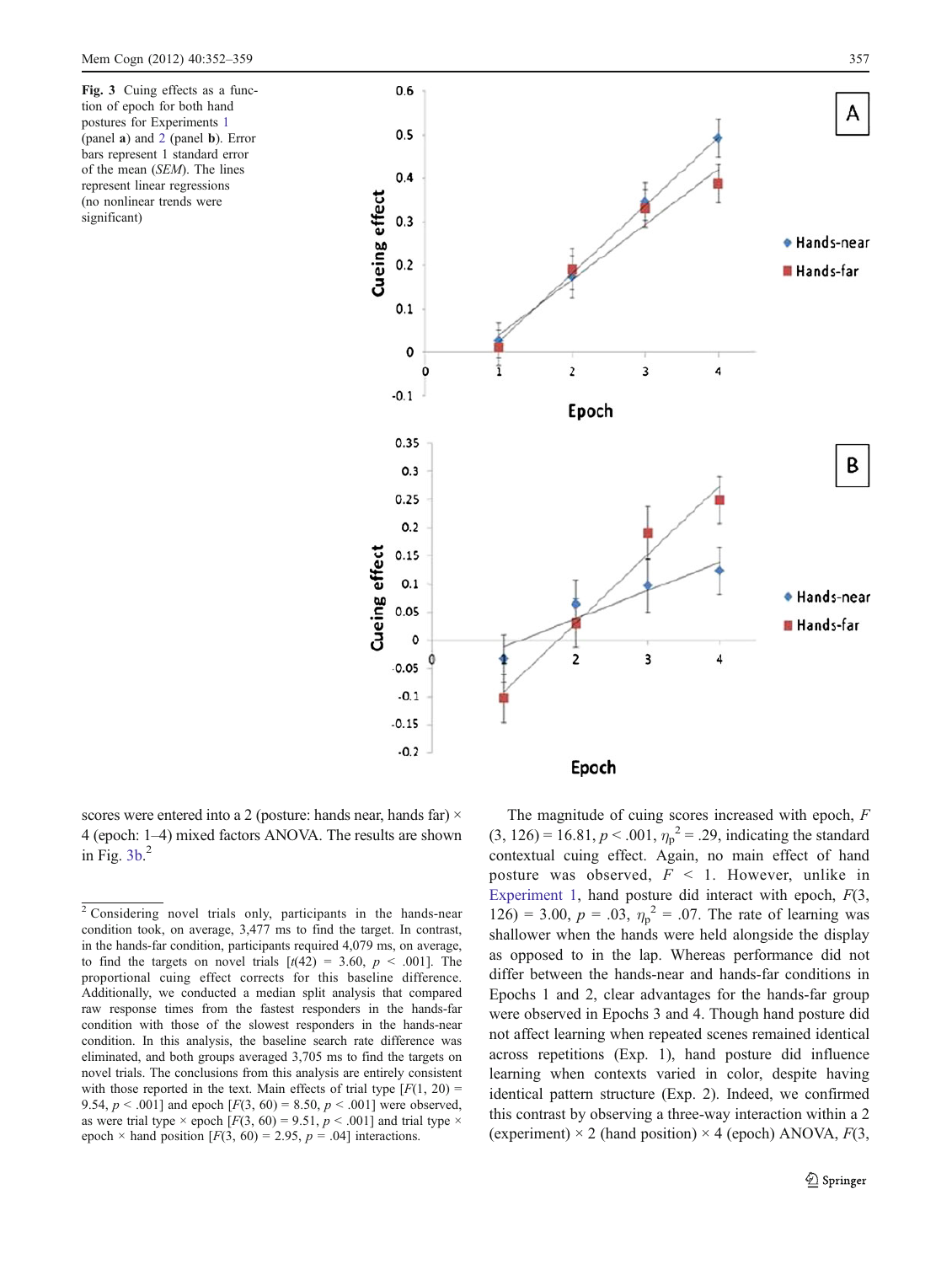<span id="page-5-0"></span>Fig. 3 Cuing effects as a function of epoch for both hand postures for Experiments [1](#page-1-0) (panel a) and [2](#page-4-0) (panel b). Error bars represent 1 standard error of the mean (SEM). The lines represent linear regressions (no nonlinear trends were significant)



scores were entered into a 2 (posture: hands near, hands far)  $\times$ 4 (epoch: 1–4) mixed factors ANOVA. The results are shown in Fig. 3b. 2

The magnitude of cuing scores increased with epoch, F  $(3, 126) = 16.81, p < .001, \eta_p^2 = .29$ , indicating the standard contextual cuing effect. Again, no main effect of hand posture was observed,  $F \leq 1$ . However, unlike in [Experiment 1](#page-1-0), hand posture did interact with epoch,  $F(3, 1)$ 126) = 3.00,  $p = .03$ ,  $\eta_p^2 = .07$ . The rate of learning was shallower when the hands were held alongside the display as opposed to in the lap. Whereas performance did not differ between the hands-near and hands-far conditions in Epochs 1 and 2, clear advantages for the hands-far group were observed in Epochs 3 and 4. Though hand posture did not affect learning when repeated scenes remained identical across repetitions (Exp. 1), hand posture did influence learning when contexts varied in color, despite having identical pattern structure (Exp. 2). Indeed, we confirmed this contrast by observing a three-way interaction within a 2 (experiment)  $\times$  2 (hand position)  $\times$  4 (epoch) ANOVA,  $F(3, 4)$ 

<sup>2</sup> Considering novel trials only, participants in the hands-near condition took, on average, 3,477 ms to find the target. In contrast, in the hands-far condition, participants required 4,079 ms, on average, to find the targets on novel trials  $[t(42) = 3.60, p < .001]$ . The proportional cuing effect corrects for this baseline difference. Additionally, we conducted a median split analysis that compared raw response times from the fastest responders in the hands-far condition with those of the slowest responders in the hands-near condition. In this analysis, the baseline search rate difference was eliminated, and both groups averaged 3,705 ms to find the targets on novel trials. The conclusions from this analysis are entirely consistent with those reported in the text. Main effects of trial type  $[F(1, 20) =$ 9.54,  $p < .001$ ] and epoch  $[F(3, 60) = 8.50, p < .001]$  were observed, as were trial type  $\times$  epoch [F(3, 60) = 9.51, p  $\times$  .001] and trial type  $\times$ epoch  $\times$  hand position [F(3, 60) = 2.95, p = .04] interactions.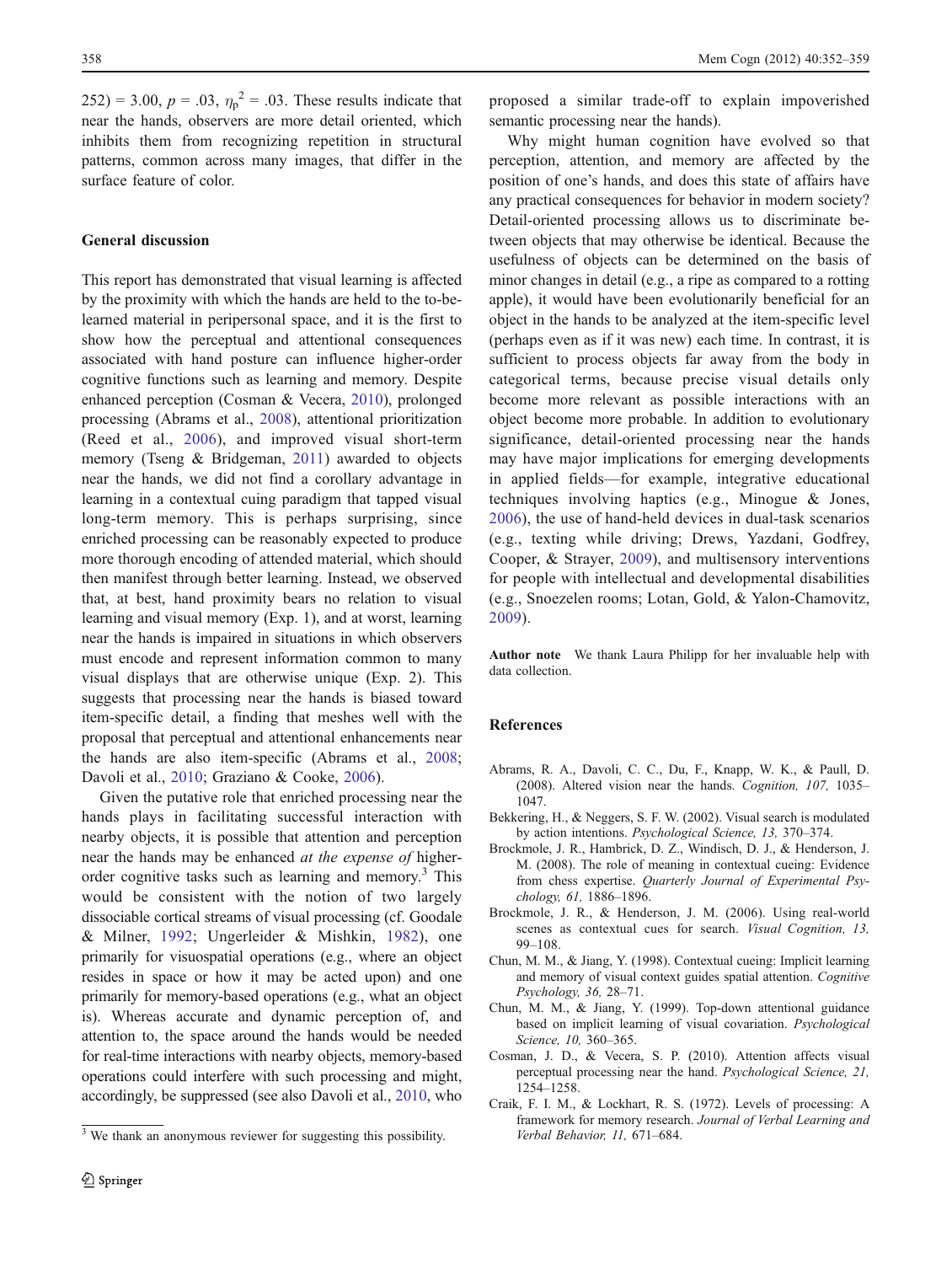<span id="page-6-0"></span> $(252) = 3.00, p = .03, \eta_p^2 = .03$ . These results indicate that near the hands, observers are more detail oriented, which inhibits them from recognizing repetition in structural patterns, common across many images, that differ in the surface feature of color.

# General discussion

This report has demonstrated that visual learning is affected by the proximity with which the hands are held to the to-belearned material in peripersonal space, and it is the first to show how the perceptual and attentional consequences associated with hand posture can influence higher-order cognitive functions such as learning and memory. Despite enhanced perception (Cosman & Vecera, 2010), prolonged processing (Abrams et al., 2008), attentional prioritization (Reed et al., [2006\)](#page-7-0), and improved visual short-term memory (Tseng & Bridgeman, [2011](#page-7-0)) awarded to objects near the hands, we did not find a corollary advantage in learning in a contextual cuing paradigm that tapped visual long-term memory. This is perhaps surprising, since enriched processing can be reasonably expected to produce more thorough encoding of attended material, which should then manifest through better learning. Instead, we observed that, at best, hand proximity bears no relation to visual learning and visual memory (Exp. 1), and at worst, learning near the hands is impaired in situations in which observers must encode and represent information common to many visual displays that are otherwise unique (Exp. 2). This suggests that processing near the hands is biased toward item-specific detail, a finding that meshes well with the proposal that perceptual and attentional enhancements near the hands are also item-specific (Abrams et al., 2008; Davoli et al., [2010;](#page-7-0) Graziano & Cooke, [2006](#page-7-0)).

Given the putative role that enriched processing near the hands plays in facilitating successful interaction with nearby objects, it is possible that attention and perception near the hands may be enhanced at the expense of higherorder cognitive tasks such as learning and memory.<sup>3</sup> This would be consistent with the notion of two largely dissociable cortical streams of visual processing (cf. Goodale & Milner, [1992;](#page-7-0) Ungerleider & Mishkin, [1982](#page-7-0)), one primarily for visuospatial operations (e.g., where an object resides in space or how it may be acted upon) and one primarily for memory-based operations (e.g., what an object is). Whereas accurate and dynamic perception of, and attention to, the space around the hands would be needed for real-time interactions with nearby objects, memory-based operations could interfere with such processing and might, accordingly, be suppressed (see also Davoli et al., [2010](#page-7-0), who

proposed a similar trade-off to explain impoverished semantic processing near the hands).

Why might human cognition have evolved so that perception, attention, and memory are affected by the position of one's hands, and does this state of affairs have any practical consequences for behavior in modern society? Detail-oriented processing allows us to discriminate between objects that may otherwise be identical. Because the usefulness of objects can be determined on the basis of minor changes in detail (e.g., a ripe as compared to a rotting apple), it would have been evolutionarily beneficial for an object in the hands to be analyzed at the item-specific level (perhaps even as if it was new) each time. In contrast, it is sufficient to process objects far away from the body in categorical terms, because precise visual details only become more relevant as possible interactions with an object become more probable. In addition to evolutionary significance, detail-oriented processing near the hands may have major implications for emerging developments in applied fields—for example, integrative educational techniques involving haptics (e.g., Minogue & Jones, [2006](#page-7-0)), the use of hand-held devices in dual-task scenarios (e.g., texting while driving; Drews, Yazdani, Godfrey, Cooper, & Strayer, [2009](#page-7-0)), and multisensory interventions for people with intellectual and developmental disabilities (e.g., Snoezelen rooms; Lotan, Gold, & Yalon-Chamovitz, [2009](#page-7-0)).

Author note We thank Laura Philipp for her invaluable help with data collection.

## References

- Abrams, R. A., Davoli, C. C., Du, F., Knapp, W. K., & Paull, D. (2008). Altered vision near the hands. Cognition, 107, 1035– 1047.
- Bekkering, H., & Neggers, S. F. W. (2002). Visual search is modulated by action intentions. Psychological Science, 13, 370–374.
- Brockmole, J. R., Hambrick, D. Z., Windisch, D. J., & Henderson, J. M. (2008). The role of meaning in contextual cueing: Evidence from chess expertise. Quarterly Journal of Experimental Psychology, 61, 1886–1896.
- Brockmole, J. R., & Henderson, J. M. (2006). Using real-world scenes as contextual cues for search. Visual Cognition, 13, 99–108.
- Chun, M. M., & Jiang, Y. (1998). Contextual cueing: Implicit learning and memory of visual context guides spatial attention. Cognitive Psychology, 36, 28–71.
- Chun, M. M., & Jiang, Y. (1999). Top-down attentional guidance based on implicit learning of visual covariation. Psychological Science, 10, 360–365.
- Cosman, J. D., & Vecera, S. P. (2010). Attention affects visual perceptual processing near the hand. Psychological Science, 21, 1254–1258.
- Craik, F. I. M., & Lockhart, R. S. (1972). Levels of processing: A framework for memory research. Journal of Verbal Learning and

 $3$  We thank an anonymous reviewer for suggesting this possibility. *Verbal Behavior, 11*, 671–684.